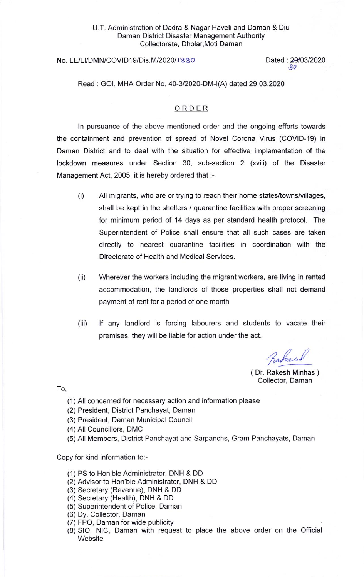## U.T. Administration of Dadra & Nagar Haveli and Daman & Diu Daman District Disaster Management Authority Collectorate, Dholar, Moti Daman

## No. LE/LI/DMN/COVID19/Dis.M/2020/1880

Dated: 29/03/2020  $30$ 

Read : GOl, MHA Order No. 40-3/2020-DM-l(A) dated 29.03.2020

## ORDER

ln pursuance of the above mentioned order and the ongoing efforts towards the containment and prevention of spread of Novel Corona Virus (COVID-1g) in Daman District and to deal with the situation for effective implementation of the lockdown measures under Section 30, sub-section 2 (xviii) of the Disaster Management Act, 2005, it is hereby ordered that :-

- (i) All migrants, who are or trying to reach their home states/towns/villages, shall be kept in the shelters / quarantine facilities with proper screening for minimum period of 14 days as per standard health protocol. The Superintendent of Police shall ensure that all such cases are taken directly to nearest quarantine facilities in coordination with the Directorate of Health and Medical Services.
- (ii) Wherever the workers including the migrant workers, are living in rented accommodation, the landlords of those properties shall not demand payment of rent for a period of one month
- (iii) lf any landlord is forcing labourers and students to vacate their premises, they will be liable for action under the act.

Rober

( Dr. Rakesh Minhas ) Collector, Daman

To,

- (1) All concerned for necessary action and information please
- (2) President, District Panchayat, Daman
- (3) President, Daman Municipal Council
- (4) All Councillors, DMC
- (5) All Members, District Panchayat and Sarpanchs, Gram Panchayats, Daman

Copy for kind information to:-

- (1) PS to Hon'ble Administrator, DNH & DD
- (2) Advisor to Hon'ble Administrator, DNH & DD
- (3) Secretary (Revenue), DNH & DD
- (4) Secretary (Health), DNH & DD
- (5) Superintendent of Police, Daman
- (6) Dy. Collector, Daman
- (7) FPO, Daman for wide publicity
- (8) SIO, NlC, Daman with request to place the above order on the Official **Website**